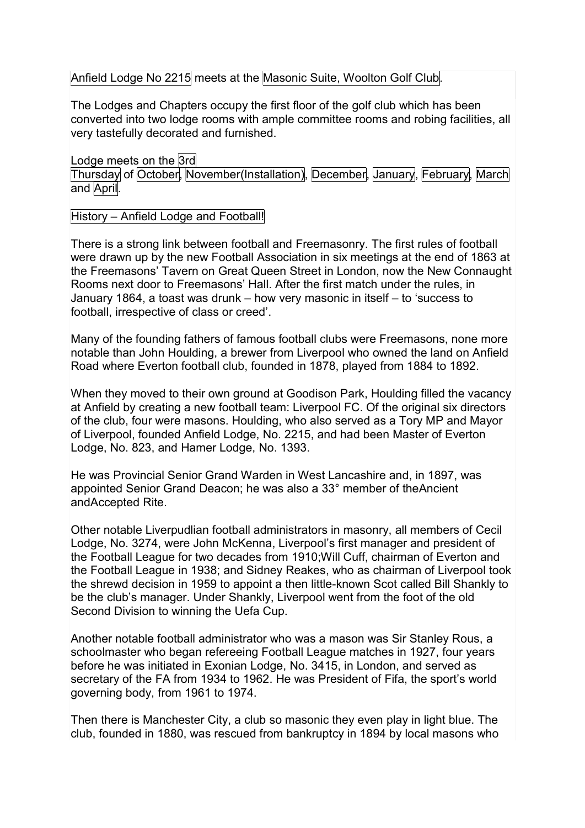## Anfield Lodge No 2215 meets at the Masonic Suite, Woolton Golf Club.

The Lodges and Chapters occupy the first floor of the golf club which has been converted into two lodge rooms with ample committee rooms and robing facilities, all very tastefully decorated and furnished.

Lodge meets on the 3rd Thursday of October, November(Installation), December, January, February, March and April.

## History – Anfield Lodge and Football!

There is a strong link between football and Freemasonry. The first rules of football were drawn up by the new Football Association in six meetings at the end of 1863 at the Freemasons' Tavern on Great Queen Street in London, now the New Connaught Rooms next door to Freemasons' Hall. After the first match under the rules, in January 1864, a toast was drunk – how very masonic in itself – to 'success to football, irrespective of class or creed'.

Many of the founding fathers of famous football clubs were Freemasons, none more notable than John Houlding, a brewer from Liverpool who owned the land on Anfield Road where Everton football club, founded in 1878, played from 1884 to 1892.

When they moved to their own ground at Goodison Park, Houlding filled the vacancy at Anfield by creating a new football team: Liverpool FC. Of the original six directors of the club, four were masons. Houlding, who also served as a Tory MP and Mayor of Liverpool, founded Anfield Lodge, No. 2215, and had been Master of Everton Lodge, No. 823, and Hamer Lodge, No. 1393.

He was Provincial Senior Grand Warden in West Lancashire and, in 1897, was appointed Senior Grand Deacon; he was also a 33° member of theAncient andAccepted Rite.

Other notable Liverpudlian football administrators in masonry, all members of Cecil Lodge, No. 3274, were John McKenna, Liverpool's first manager and president of the Football League for two decades from 1910;Will Cuff, chairman of Everton and the Football League in 1938; and Sidney Reakes, who as chairman of Liverpool took the shrewd decision in 1959 to appoint a then little-known Scot called Bill Shankly to be the club's manager. Under Shankly, Liverpool went from the foot of the old Second Division to winning the Uefa Cup.

Another notable football administrator who was a mason was Sir Stanley Rous, a schoolmaster who began refereeing Football League matches in 1927, four years before he was initiated in Exonian Lodge, No. 3415, in London, and served as secretary of the FA from 1934 to 1962. He was President of Fifa, the sport's world governing body, from 1961 to 1974.

Then there is Manchester City, a club so masonic they even play in light blue. The club, founded in 1880, was rescued from bankruptcy in 1894 by local masons who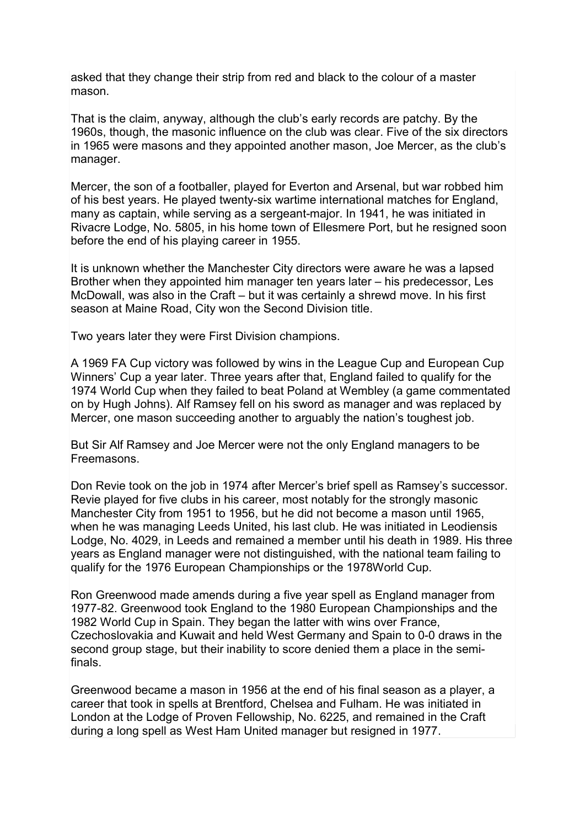asked that they change their strip from red and black to the colour of a master mason.

That is the claim, anyway, although the club's early records are patchy. By the 1960s, though, the masonic influence on the club was clear. Five of the six directors in 1965 were masons and they appointed another mason, Joe Mercer, as the club's manager.

Mercer, the son of a footballer, played for Everton and Arsenal, but war robbed him of his best years. He played twenty-six wartime international matches for England, many as captain, while serving as a sergeant-major. In 1941, he was initiated in Rivacre Lodge, No. 5805, in his home town of Ellesmere Port, but he resigned soon before the end of his playing career in 1955.

It is unknown whether the Manchester City directors were aware he was a lapsed Brother when they appointed him manager ten years later – his predecessor, Les McDowall, was also in the Craft – but it was certainly a shrewd move. In his first season at Maine Road, City won the Second Division title.

Two years later they were First Division champions.

A 1969 FA Cup victory was followed by wins in the League Cup and European Cup Winners' Cup a year later. Three years after that, England failed to qualify for the 1974 World Cup when they failed to beat Poland at Wembley (a game commentated on by Hugh Johns). Alf Ramsey fell on his sword as manager and was replaced by Mercer, one mason succeeding another to arguably the nation's toughest job.

But Sir Alf Ramsey and Joe Mercer were not the only England managers to be **Freemasons** 

Don Revie took on the job in 1974 after Mercer's brief spell as Ramsey's successor. Revie played for five clubs in his career, most notably for the strongly masonic Manchester City from 1951 to 1956, but he did not become a mason until 1965, when he was managing Leeds United, his last club. He was initiated in Leodiensis Lodge, No. 4029, in Leeds and remained a member until his death in 1989. His three years as England manager were not distinguished, with the national team failing to qualify for the 1976 European Championships or the 1978World Cup.

Ron Greenwood made amends during a five year spell as England manager from 1977-82. Greenwood took England to the 1980 European Championships and the 1982 World Cup in Spain. They began the latter with wins over France, Czechoslovakia and Kuwait and held West Germany and Spain to 0-0 draws in the second group stage, but their inability to score denied them a place in the semifinals.

Greenwood became a mason in 1956 at the end of his final season as a player, a career that took in spells at Brentford, Chelsea and Fulham. He was initiated in London at the Lodge of Proven Fellowship, No. 6225, and remained in the Craft during a long spell as West Ham United manager but resigned in 1977.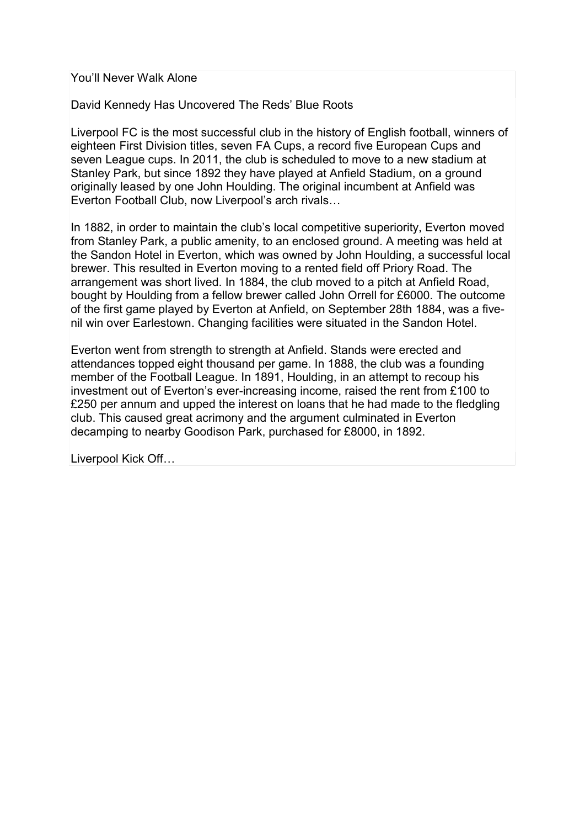You'll Never Walk Alone

David Kennedy Has Uncovered The Reds' Blue Roots

Liverpool FC is the most successful club in the history of English football, winners of eighteen First Division titles, seven FA Cups, a record five European Cups and seven League cups. In 2011, the club is scheduled to move to a new stadium at Stanley Park, but since 1892 they have played at Anfield Stadium, on a ground originally leased by one John Houlding. The original incumbent at Anfield was Everton Football Club, now Liverpool's arch rivals…

In 1882, in order to maintain the club's local competitive superiority, Everton moved from Stanley Park, a public amenity, to an enclosed ground. A meeting was held at the Sandon Hotel in Everton, which was owned by John Houlding, a successful local brewer. This resulted in Everton moving to a rented field off Priory Road. The arrangement was short lived. In 1884, the club moved to a pitch at Anfield Road, bought by Houlding from a fellow brewer called John Orrell for £6000. The outcome of the first game played by Everton at Anfield, on September 28th 1884, was a fivenil win over Earlestown. Changing facilities were situated in the Sandon Hotel.

Everton went from strength to strength at Anfield. Stands were erected and attendances topped eight thousand per game. In 1888, the club was a founding member of the Football League. In 1891, Houlding, in an attempt to recoup his investment out of Everton's ever-increasing income, raised the rent from £100 to £250 per annum and upped the interest on loans that he had made to the fledgling club. This caused great acrimony and the argument culminated in Everton decamping to nearby Goodison Park, purchased for £8000, in 1892.

Liverpool Kick Off…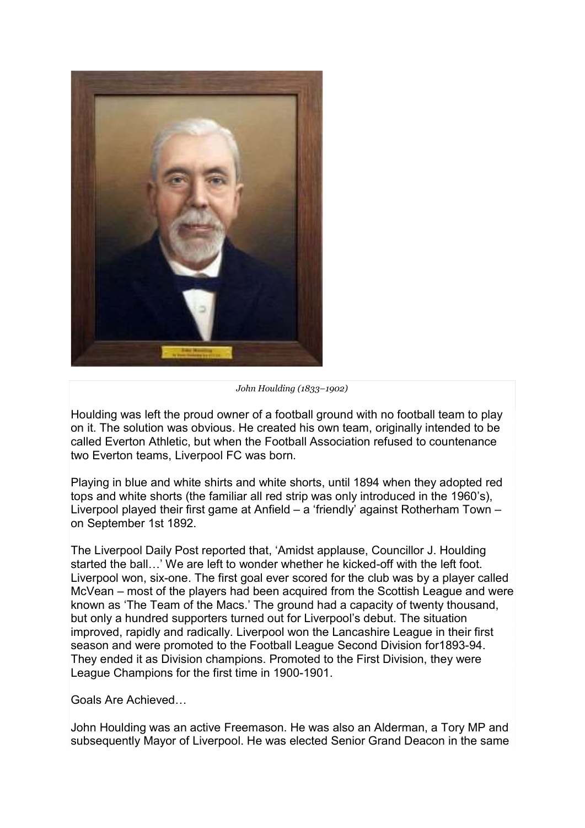

John Houlding (1833–1902)

Houlding was left the proud owner of a football ground with no football team to play on it. The solution was obvious. He created his own team, originally intended to be called Everton Athletic, but when the Football Association refused to countenance two Everton teams, Liverpool FC was born.

Playing in blue and white shirts and white shorts, until 1894 when they adopted red tops and white shorts (the familiar all red strip was only introduced in the 1960's), Liverpool played their first game at Anfield – a 'friendly' against Rotherham Town – on September 1st 1892.

The Liverpool Daily Post reported that, 'Amidst applause, Councillor J. Houlding started the ball…' We are left to wonder whether he kicked-off with the left foot. Liverpool won, six-one. The first goal ever scored for the club was by a player called McVean – most of the players had been acquired from the Scottish League and were known as 'The Team of the Macs.' The ground had a capacity of twenty thousand, but only a hundred supporters turned out for Liverpool's debut. The situation improved, rapidly and radically. Liverpool won the Lancashire League in their first season and were promoted to the Football League Second Division for1893-94. They ended it as Division champions. Promoted to the First Division, they were League Champions for the first time in 1900-1901.

Goals Are Achieved…

John Houlding was an active Freemason. He was also an Alderman, a Tory MP and subsequently Mayor of Liverpool. He was elected Senior Grand Deacon in the same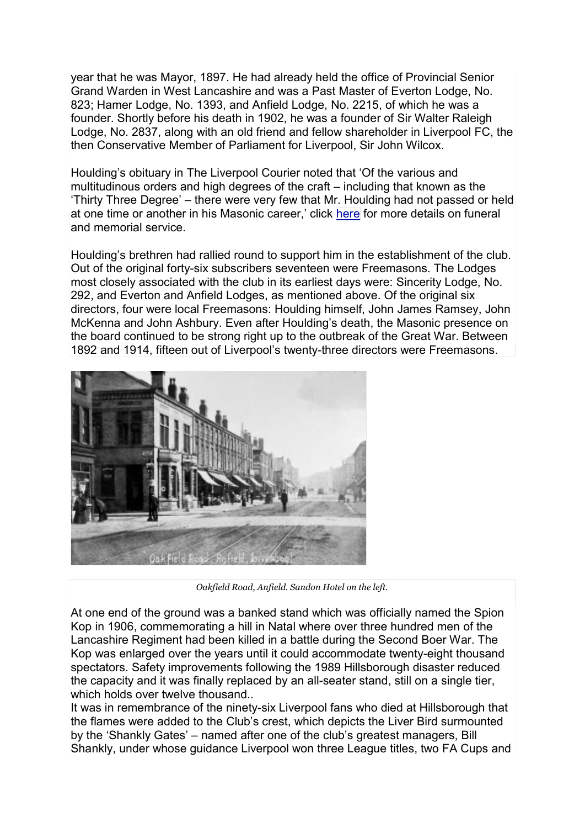year that he was Mayor, 1897. He had already held the office of Provincial Senior Grand Warden in West Lancashire and was a Past Master of Everton Lodge, No. 823; Hamer Lodge, No. 1393, and Anfield Lodge, No. 2215, of which he was a founder. Shortly before his death in 1902, he was a founder of Sir Walter Raleigh Lodge, No. 2837, along with an old friend and fellow shareholder in Liverpool FC, the then Conservative Member of Parliament for Liverpool, Sir John Wilcox.

Houlding's obituary in The Liverpool Courier noted that 'Of the various and multitudinous orders and high degrees of the craft – including that known as the 'Thirty Three Degree' – there were very few that Mr. Houlding had not passed or held at one time or another in his Masonic career,' click here for more details on funeral and memorial service.

Houlding's brethren had rallied round to support him in the establishment of the club. Out of the original forty-six subscribers seventeen were Freemasons. The Lodges most closely associated with the club in its earliest days were: Sincerity Lodge, No. 292, and Everton and Anfield Lodges, as mentioned above. Of the original six directors, four were local Freemasons: Houlding himself, John James Ramsey, John McKenna and John Ashbury. Even after Houlding's death, the Masonic presence on the board continued to be strong right up to the outbreak of the Great War. Between 1892 and 1914, fifteen out of Liverpool's twenty-three directors were Freemasons.



Oakfield Road, Anfield. Sandon Hotel on the left.

At one end of the ground was a banked stand which was officially named the Spion Kop in 1906, commemorating a hill in Natal where over three hundred men of the Lancashire Regiment had been killed in a battle during the Second Boer War. The Kop was enlarged over the years until it could accommodate twenty-eight thousand spectators. Safety improvements following the 1989 Hillsborough disaster reduced the capacity and it was finally replaced by an all-seater stand, still on a single tier, which holds over twelve thousand..

It was in remembrance of the ninety-six Liverpool fans who died at Hillsborough that the flames were added to the Club's crest, which depicts the Liver Bird surmounted by the 'Shankly Gates' – named after one of the club's greatest managers, Bill Shankly, under whose guidance Liverpool won three League titles, two FA Cups and